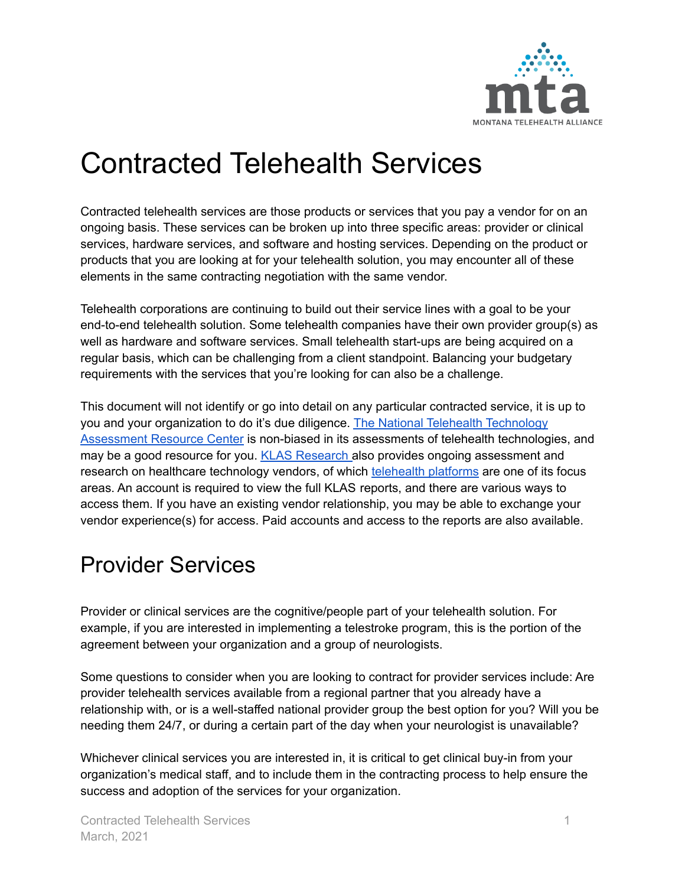

# Contracted Telehealth Services

Contracted telehealth services are those products or services that you pay a vendor for on an ongoing basis. These services can be broken up into three specific areas: provider or clinical services, hardware services, and software and hosting services. Depending on the product or products that you are looking at for your telehealth solution, you may encounter all of these elements in the same contracting negotiation with the same vendor.

Telehealth corporations are continuing to build out their service lines with a goal to be your end-to-end telehealth solution. Some telehealth companies have their own provider group(s) as well as hardware and software services. Small telehealth start-ups are being acquired on a regular basis, which can be challenging from a client standpoint. Balancing your budgetary requirements with the services that you're looking for can also be a challenge.

This document will not identify or go into detail on any particular contracted service, it is up to you and your organization to do it's due diligence. The National Telehealth [Technology](https://telehealthtechnology.org/) [Assessment](https://telehealthtechnology.org/) Resource Center is non-biased in its assessments of telehealth technologies, and may be a good resource for you. KLAS [Research](https://klasresearch.com/) also provides ongoing assessment and research on healthcare technology vendors, of which [telehealth](https://klasresearch.com/category/telehealth/42) platforms are one of its focus areas. An account is required to view the full KLAS reports, and there are various ways to access them. If you have an existing vendor relationship, you may be able to exchange your vendor experience(s) for access. Paid accounts and access to the reports are also available.

### Provider Services

Provider or clinical services are the cognitive/people part of your telehealth solution. For example, if you are interested in implementing a telestroke program, this is the portion of the agreement between your organization and a group of neurologists.

Some questions to consider when you are looking to contract for provider services include: Are provider telehealth services available from a regional partner that you already have a relationship with, or is a well-staffed national provider group the best option for you? Will you be needing them 24/7, or during a certain part of the day when your neurologist is unavailable?

Whichever clinical services you are interested in, it is critical to get clinical buy-in from your organization's medical staff, and to include them in the contracting process to help ensure the success and adoption of the services for your organization.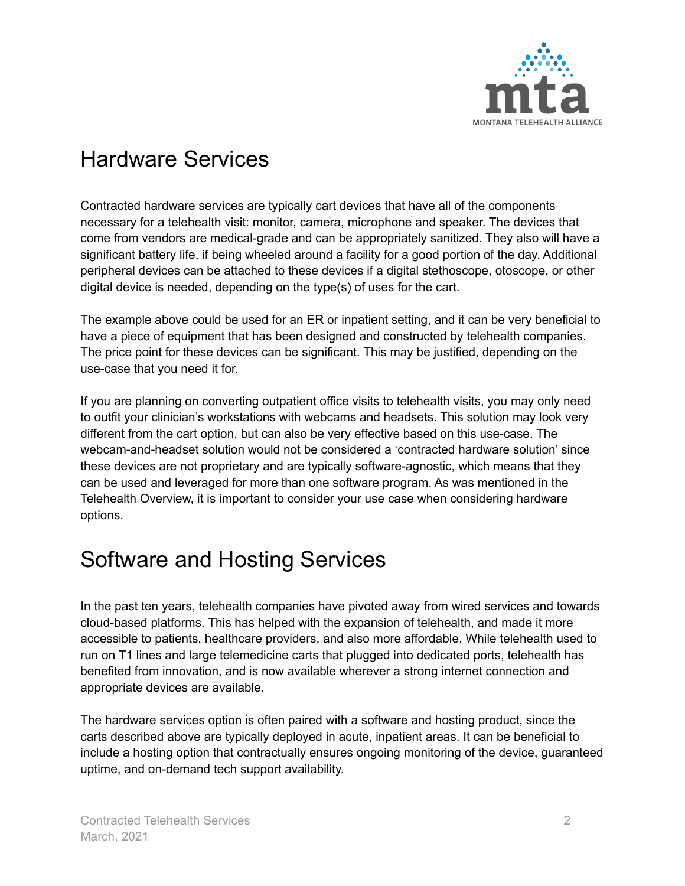

### Hardware Services

Contracted hardware services are typically cart devices that have all of the components necessary for a telehealth visit: monitor, camera, microphone and speaker. The devices that come from vendors are medical-grade and can be appropriately sanitized. They also will have a significant battery life, if being wheeled around a facility for a good portion of the day. Additional peripheral devices can be attached to these devices if a digital stethoscope, otoscope, or other digital device is needed, depending on the type(s) of uses for the cart.

The example above could be used for an ER or inpatient setting, and it can be very beneficial to have a piece of equipment that has been designed and constructed by telehealth companies. The price point for these devices can be significant. This may be justified, depending on the use-case that you need it for.

If you are planning on converting outpatient office visits to telehealth visits, you may only need to outfit your clinician's workstations with webcams and headsets. This solution may look very different from the cart option, but can also be very effective based on this use-case. The webcam-and-headset solution would not be considered a 'contracted hardware solution' since these devices are not proprietary and are typically software-agnostic, which means that they can be used and leveraged for more than one software program. As was mentioned in the Telehealth Overview, it is important to consider your use case when considering hardware options.

## Software and Hosting Services

In the past ten years, telehealth companies have pivoted away from wired services and towards cloud-based platforms. This has helped with the expansion of telehealth, and made it more accessible to patients, healthcare providers, and also more affordable. While telehealth used to run on T1 lines and large telemedicine carts that plugged into dedicated ports, telehealth has benefited from innovation, and is now available wherever a strong internet connection and appropriate devices are available.

The hardware services option is often paired with a software and hosting product, since the carts described above are typically deployed in acute, inpatient areas. It can be beneficial to include a hosting option that contractually ensures ongoing monitoring of the device, guaranteed uptime, and on-demand tech support availability.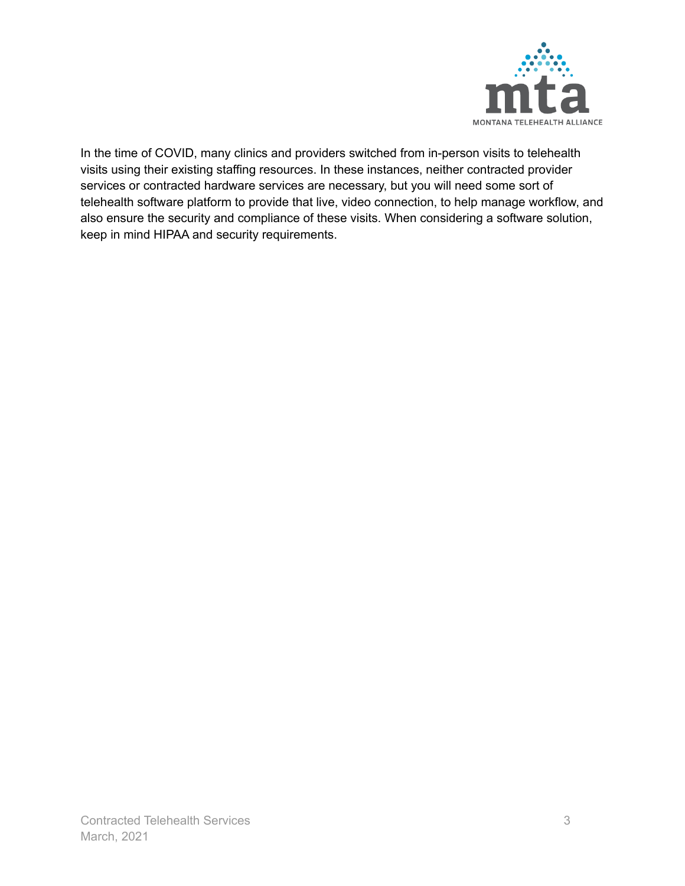

In the time of COVID, many clinics and providers switched from in-person visits to telehealth visits using their existing staffing resources. In these instances, neither contracted provider services or contracted hardware services are necessary, but you will need some sort of telehealth software platform to provide that live, video connection, to help manage workflow, and also ensure the security and compliance of these visits. When considering a software solution, keep in mind HIPAA and security requirements.